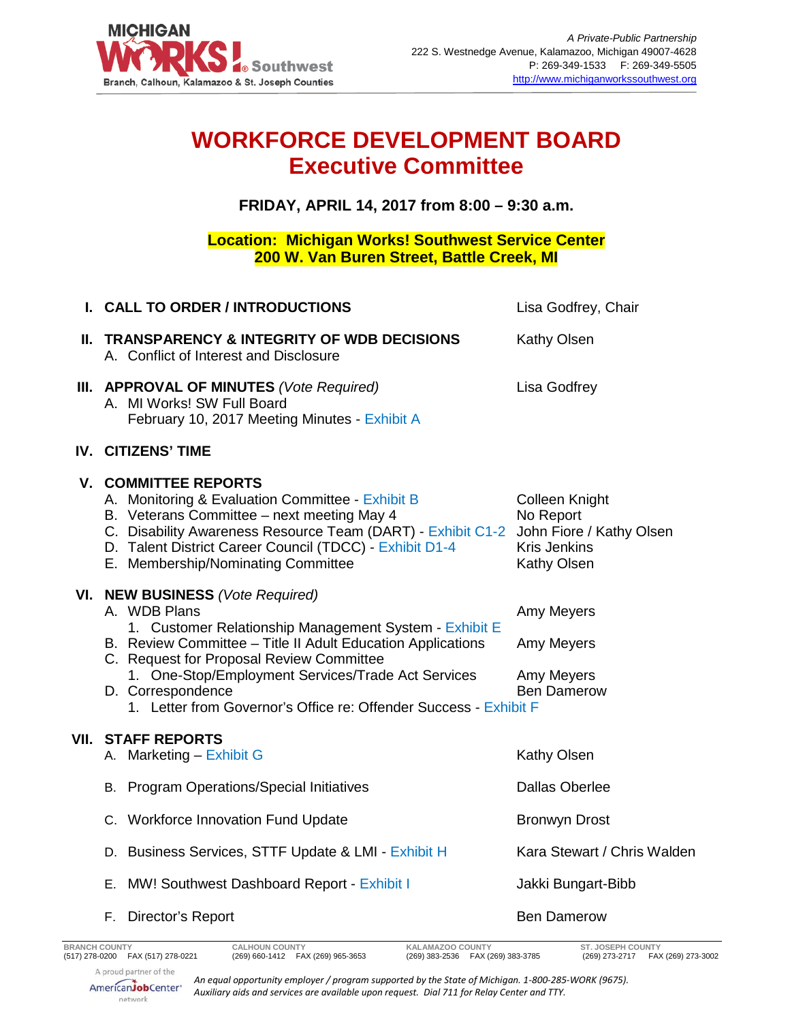

## **WORKFORCE DEVELOPMENT BOARD Executive Committee**

**FRIDAY, APRIL 14, 2017 from 8:00 – 9:30 a.m.**

**Location: Michigan Works! Southwest Service Center 200 W. Van Buren Street, Battle Creek, MI**

| I. CALL TO ORDER / INTRODUCTIONS                                                                                                                                                                                                                                                                                                                                      | Lisa Godfrey, Chair                                                      |
|-----------------------------------------------------------------------------------------------------------------------------------------------------------------------------------------------------------------------------------------------------------------------------------------------------------------------------------------------------------------------|--------------------------------------------------------------------------|
| II. TRANSPARENCY & INTEGRITY OF WDB DECISIONS<br>A. Conflict of Interest and Disclosure                                                                                                                                                                                                                                                                               | Kathy Olsen                                                              |
| III. APPROVAL OF MINUTES (Vote Required)<br>A. MI Works! SW Full Board<br>February 10, 2017 Meeting Minutes - Exhibit A                                                                                                                                                                                                                                               | Lisa Godfrey                                                             |
| IV. CITIZENS' TIME                                                                                                                                                                                                                                                                                                                                                    |                                                                          |
| <b>V. COMMITTEE REPORTS</b><br>A. Monitoring & Evaluation Committee - Exhibit B<br>B. Veterans Committee - next meeting May 4<br>C. Disability Awareness Resource Team (DART) - Exhibit C1-2 John Fiore / Kathy Olsen<br>D. Talent District Career Council (TDCC) - Exhibit D1-4<br>E. Membership/Nominating Committee                                                | <b>Colleen Knight</b><br>No Report<br><b>Kris Jenkins</b><br>Kathy Olsen |
| VI. NEW BUSINESS (Vote Required)<br>A. WDB Plans<br>1. Customer Relationship Management System - Exhibit E<br>B. Review Committee - Title II Adult Education Applications<br>C. Request for Proposal Review Committee<br>1. One-Stop/Employment Services/Trade Act Services<br>D. Correspondence<br>1. Letter from Governor's Office re: Offender Success - Exhibit F | Amy Meyers<br>Amy Meyers<br>Amy Meyers<br><b>Ben Damerow</b>             |
| <b>VII. STAFF REPORTS</b><br>A. Marketing - Exhibit G                                                                                                                                                                                                                                                                                                                 | Kathy Olsen                                                              |
| B. Program Operations/Special Initiatives                                                                                                                                                                                                                                                                                                                             | <b>Dallas Oberlee</b>                                                    |
| C. Workforce Innovation Fund Update                                                                                                                                                                                                                                                                                                                                   | <b>Bronwyn Drost</b>                                                     |
| D. Business Services, STTF Update & LMI - Exhibit H                                                                                                                                                                                                                                                                                                                   | Kara Stewart / Chris Walden                                              |
| E. MW! Southwest Dashboard Report - Exhibit I                                                                                                                                                                                                                                                                                                                         | Jakki Bungart-Bibb                                                       |
| F. Director's Report                                                                                                                                                                                                                                                                                                                                                  | <b>Ben Damerow</b>                                                       |

*An equal opportunity employer / program supported by the State of Michigan. 1-800-285-WORK (9675). Auxiliary aids and services are available upon request. Dial 711 for Relay Center and TTY.*